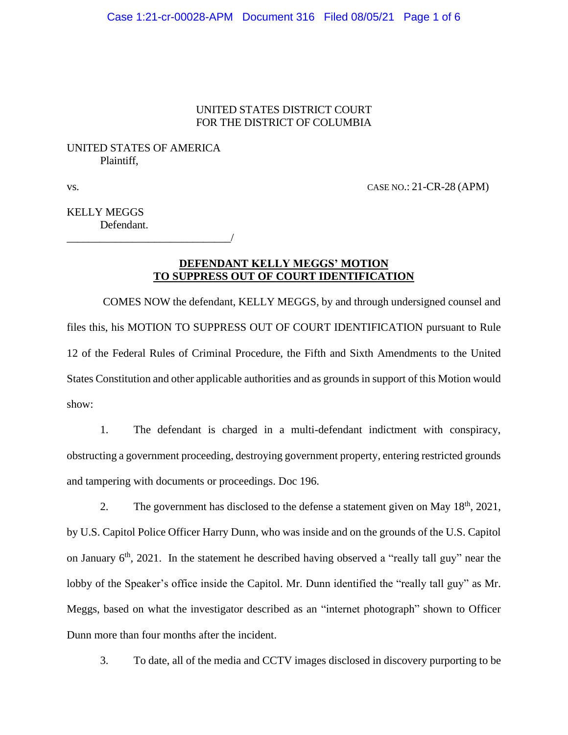## UNITED STATES DISTRICT COURT FOR THE DISTRICT OF COLUMBIA

# UNITED STATES OF AMERICA Plaintiff,

\_\_\_\_\_\_\_\_\_\_\_\_\_\_\_\_\_\_\_\_\_\_\_\_\_\_\_\_\_\_/

vs. CASE NO.: 21-CR-28 (APM)

KELLY MEGGS Defendant.

## **DEFENDANT KELLY MEGGS' MOTION TO SUPPRESS OUT OF COURT IDENTIFICATION**

COMES NOW the defendant, KELLY MEGGS, by and through undersigned counsel and files this, his MOTION TO SUPPRESS OUT OF COURT IDENTIFICATION pursuant to Rule 12 of the Federal Rules of Criminal Procedure, the Fifth and Sixth Amendments to the United States Constitution and other applicable authorities and as grounds in support of this Motion would show:

 1. The defendant is charged in a multi-defendant indictment with conspiracy, obstructing a government proceeding, destroying government property, entering restricted grounds and tampering with documents or proceedings. Doc 196.

2. The government has disclosed to the defense a statement given on May  $18<sup>th</sup>$ ,  $2021$ , by U.S. Capitol Police Officer Harry Dunn, who was inside and on the grounds of the U.S. Capitol on January  $6<sup>th</sup>$ , 2021. In the statement he described having observed a "really tall guy" near the lobby of the Speaker's office inside the Capitol. Mr. Dunn identified the "really tall guy" as Mr. Meggs, based on what the investigator described as an "internet photograph" shown to Officer Dunn more than four months after the incident.

3. To date, all of the media and CCTV images disclosed in discovery purporting to be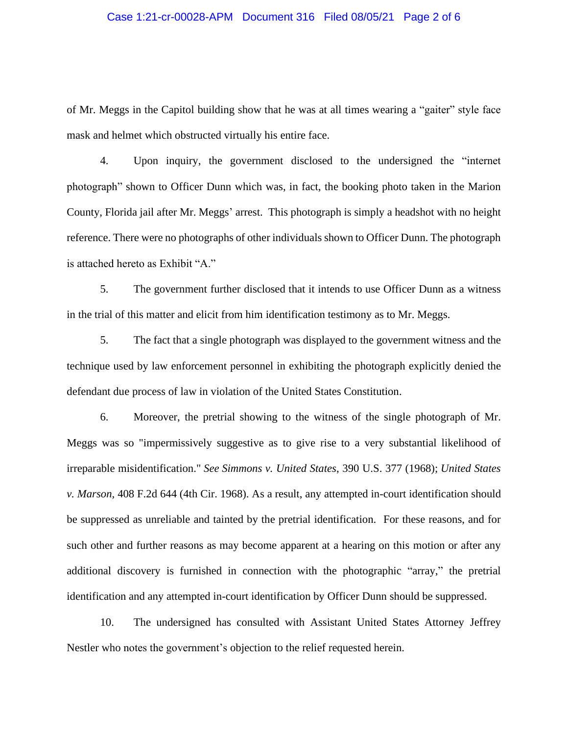### Case 1:21-cr-00028-APM Document 316 Filed 08/05/21 Page 2 of 6

of Mr. Meggs in the Capitol building show that he was at all times wearing a "gaiter" style face mask and helmet which obstructed virtually his entire face.

4. Upon inquiry, the government disclosed to the undersigned the "internet photograph" shown to Officer Dunn which was, in fact, the booking photo taken in the Marion County, Florida jail after Mr. Meggs' arrest. This photograph is simply a headshot with no height reference. There were no photographs of other individuals shown to Officer Dunn. The photograph is attached hereto as Exhibit "A."

5. The government further disclosed that it intends to use Officer Dunn as a witness in the trial of this matter and elicit from him identification testimony as to Mr. Meggs.

5. The fact that a single photograph was displayed to the government witness and the technique used by law enforcement personnel in exhibiting the photograph explicitly denied the defendant due process of law in violation of the United States Constitution.

6. Moreover, the pretrial showing to the witness of the single photograph of Mr. Meggs was so "impermissively suggestive as to give rise to a very substantial likelihood of irreparable misidentification." *See Simmons v. United States*, 390 U.S. 377 (1968); *United States v. Marson,* 408 F.2d 644 (4th Cir. 1968). As a result, any attempted in-court identification should be suppressed as unreliable and tainted by the pretrial identification. For these reasons, and for such other and further reasons as may become apparent at a hearing on this motion or after any additional discovery is furnished in connection with the photographic "array," the pretrial identification and any attempted in-court identification by Officer Dunn should be suppressed.

10. The undersigned has consulted with Assistant United States Attorney Jeffrey Nestler who notes the government's objection to the relief requested herein.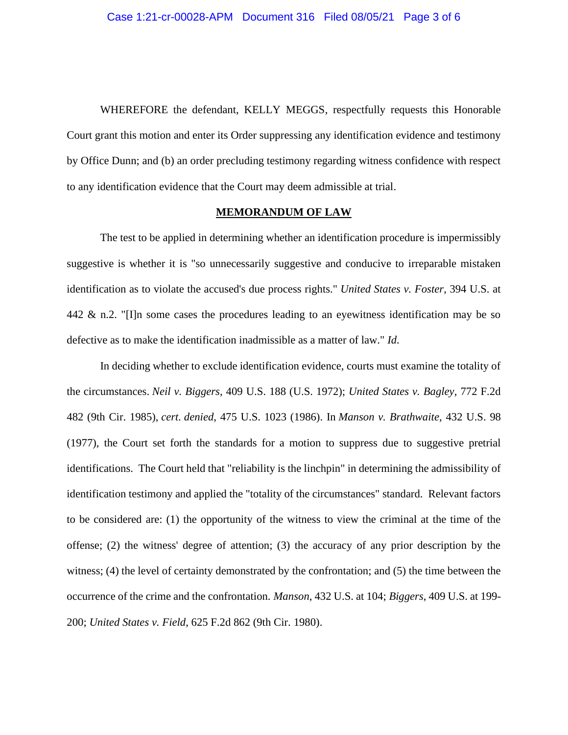WHEREFORE the defendant, KELLY MEGGS, respectfully requests this Honorable Court grant this motion and enter its Order suppressing any identification evidence and testimony by Office Dunn; and (b) an order precluding testimony regarding witness confidence with respect to any identification evidence that the Court may deem admissible at trial.

#### **MEMORANDUM OF LAW**

The test to be applied in determining whether an identification procedure is impermissibly suggestive is whether it is "so unnecessarily suggestive and conducive to irreparable mistaken identification as to violate the accused's due process rights." *United States v. Foster*, 394 U.S. at 442 & n.2. "[I]n some cases the procedures leading to an eyewitness identification may be so defective as to make the identification inadmissible as a matter of law." *Id*.

In deciding whether to exclude identification evidence, courts must examine the totality of the circumstances. *Neil v. Biggers*, 409 U.S. 188 (U.S. 1972); *United States v. Bagley*, 772 F.2d 482 (9th Cir. 1985), *cert. denied*, 475 U.S. 1023 (1986). In *Manson v. Brathwaite*, 432 U.S. 98 (1977), the Court set forth the standards for a motion to suppress due to suggestive pretrial identifications. The Court held that "reliability is the linchpin" in determining the admissibility of identification testimony and applied the "totality of the circumstances" standard. Relevant factors to be considered are: (1) the opportunity of the witness to view the criminal at the time of the offense; (2) the witness' degree of attention; (3) the accuracy of any prior description by the witness; (4) the level of certainty demonstrated by the confrontation; and (5) the time between the occurrence of the crime and the confrontation. *Manson*, 432 U.S. at 104; *Biggers*, 409 U.S. at 199- 200; *United States v. Field*, 625 F.2d 862 (9th Cir. 1980).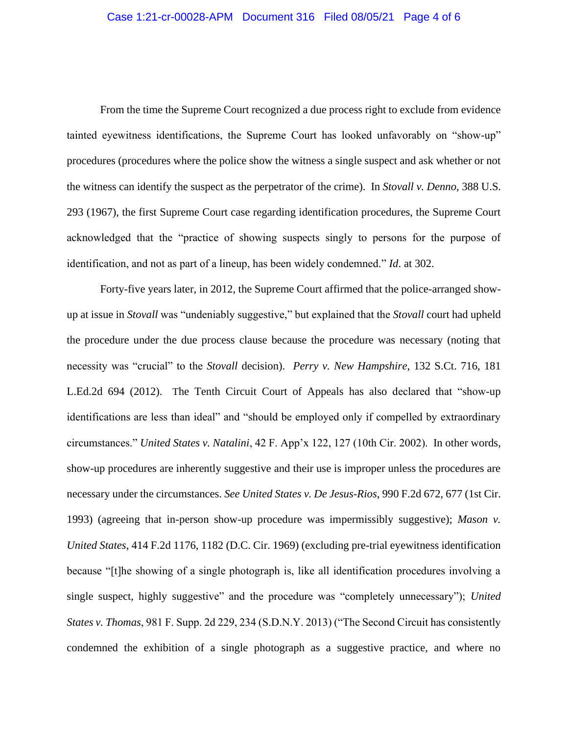From the time the Supreme Court recognized a due process right to exclude from evidence tainted eyewitness identifications, the Supreme Court has looked unfavorably on "show-up" procedures (procedures where the police show the witness a single suspect and ask whether or not the witness can identify the suspect as the perpetrator of the crime). In *Stovall v. Denno*, 388 U.S. 293 (1967), the first Supreme Court case regarding identification procedures, the Supreme Court acknowledged that the "practice of showing suspects singly to persons for the purpose of identification, and not as part of a lineup, has been widely condemned." *Id*. at 302.

Forty-five years later, in 2012, the Supreme Court affirmed that the police-arranged showup at issue in *Stovall* was "undeniably suggestive," but explained that the *Stovall* court had upheld the procedure under the due process clause because the procedure was necessary (noting that necessity was "crucial" to the *Stovall* decision). *Perry v. New Hampshire*, 132 S.Ct. 716, 181 L.Ed.2d 694 (2012). The Tenth Circuit Court of Appeals has also declared that "show-up identifications are less than ideal" and "should be employed only if compelled by extraordinary circumstances." *United States v. Natalini*, 42 F. App'x 122, 127 (10th Cir. 2002). In other words, show-up procedures are inherently suggestive and their use is improper unless the procedures are necessary under the circumstances. *See United States v. De Jesus-Rios*, 990 F.2d 672, 677 (1st Cir. 1993) (agreeing that in-person show-up procedure was impermissibly suggestive); *Mason v. United States*, 414 F.2d 1176, 1182 (D.C. Cir. 1969) (excluding pre-trial eyewitness identification because "[t]he showing of a single photograph is, like all identification procedures involving a single suspect, highly suggestive" and the procedure was "completely unnecessary"); *United States v. Thomas*, 981 F. Supp. 2d 229, 234 (S.D.N.Y. 2013) ("The Second Circuit has consistently condemned the exhibition of a single photograph as a suggestive practice, and where no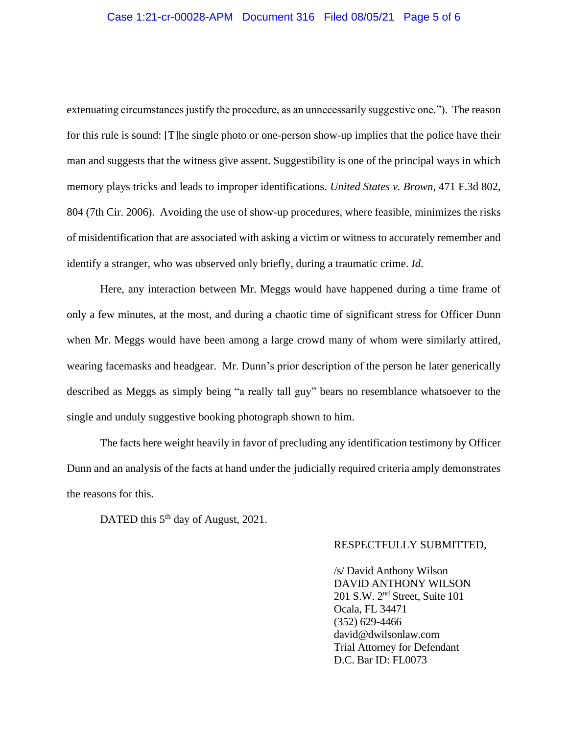## Case 1:21-cr-00028-APM Document 316 Filed 08/05/21 Page 5 of 6

extenuating circumstances justify the procedure, as an unnecessarily suggestive one."). The reason for this rule is sound: [T]he single photo or one-person show-up implies that the police have their man and suggests that the witness give assent. Suggestibility is one of the principal ways in which memory plays tricks and leads to improper identifications. *United States v. Brown*, 471 F.3d 802, 804 (7th Cir. 2006). Avoiding the use of show-up procedures, where feasible, minimizes the risks of misidentification that are associated with asking a victim or witness to accurately remember and identify a stranger, who was observed only briefly, during a traumatic crime. *Id*.

Here, any interaction between Mr. Meggs would have happened during a time frame of only a few minutes, at the most, and during a chaotic time of significant stress for Officer Dunn when Mr. Meggs would have been among a large crowd many of whom were similarly attired, wearing facemasks and headgear. Mr. Dunn's prior description of the person he later generically described as Meggs as simply being "a really tall guy" bears no resemblance whatsoever to the single and unduly suggestive booking photograph shown to him.

The facts here weight heavily in favor of precluding any identification testimony by Officer Dunn and an analysis of the facts at hand under the judicially required criteria amply demonstrates the reasons for this.

DATED this  $5<sup>th</sup>$  day of August, 2021.

#### RESPECTFULLY SUBMITTED,

 /s/ David Anthony Wilson DAVID ANTHONY WILSON 201 S.W. 2nd Street, Suite 101 Ocala, FL 34471 (352) 629-4466 david@dwilsonlaw.com Trial Attorney for Defendant D.C. Bar ID: FL0073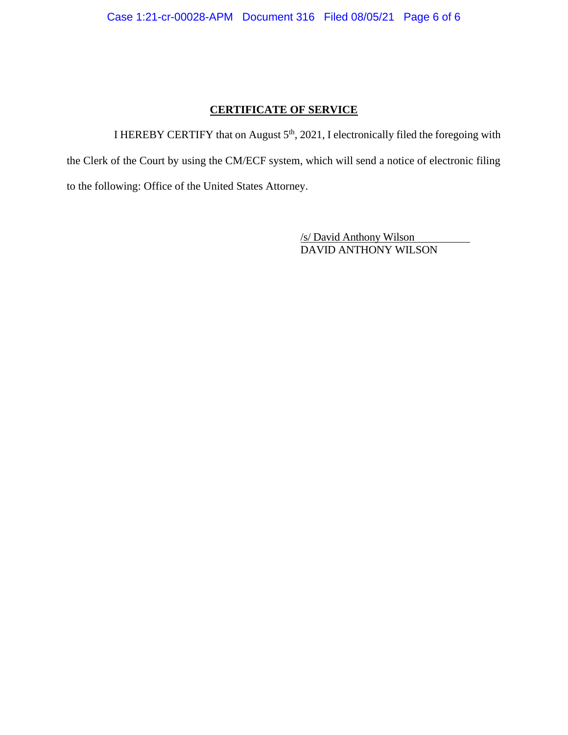# **CERTIFICATE OF SERVICE**

I HEREBY CERTIFY that on August  $5<sup>th</sup>$ , 2021, I electronically filed the foregoing with the Clerk of the Court by using the CM/ECF system, which will send a notice of electronic filing to the following: Office of the United States Attorney.

> /s/ David Anthony Wilson DAVID ANTHONY WILSON